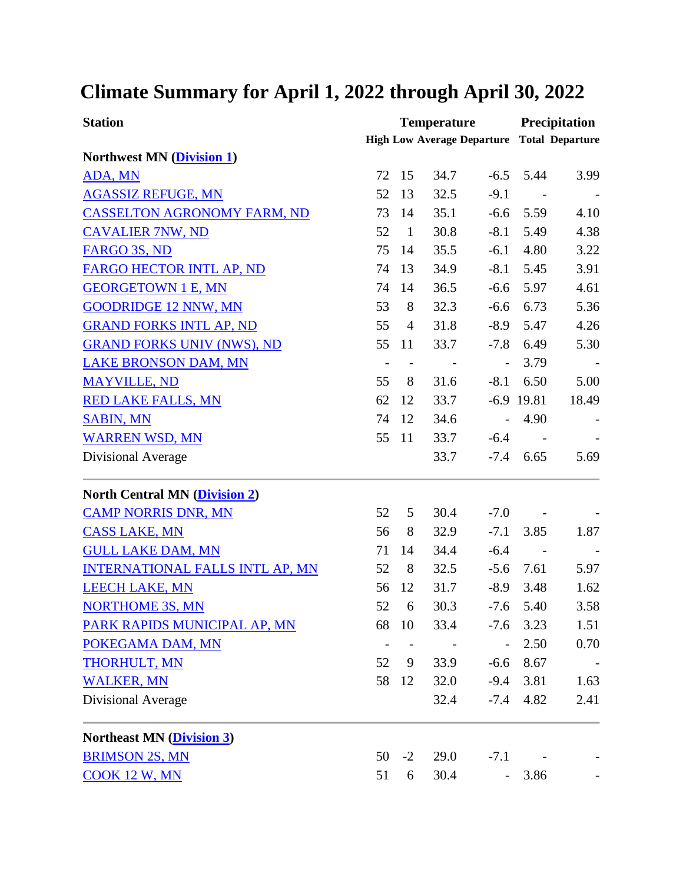## **Climate Summary for April 1, 2022 through April 30, 2022**

| <b>Station</b>                         | <b>Temperature</b>       |                          |                                                   |                          | Precipitation |       |
|----------------------------------------|--------------------------|--------------------------|---------------------------------------------------|--------------------------|---------------|-------|
|                                        |                          |                          | <b>High Low Average Departure Total Departure</b> |                          |               |       |
| <b>Northwest MN (Division 1)</b>       |                          |                          |                                                   |                          |               |       |
| ADA, MN                                | 72                       | 15                       | 34.7                                              | $-6.5$                   | 5.44          | 3.99  |
| <b>AGASSIZ REFUGE, MN</b>              | 52                       | 13                       | 32.5                                              | $-9.1$                   | $\sim$        |       |
| <b>CASSELTON AGRONOMY FARM, ND</b>     | 73                       | 14                       | 35.1                                              | $-6.6$                   | 5.59          | 4.10  |
| <b>CAVALIER 7NW, ND</b>                | 52                       | $\mathbf{1}$             | 30.8                                              | $-8.1$                   | 5.49          | 4.38  |
| FARGO 3S, ND                           | 75                       | 14                       | 35.5                                              | $-6.1$                   | 4.80          | 3.22  |
| FARGO HECTOR INTL AP, ND               | 74                       | 13                       | 34.9                                              | $-8.1$                   | 5.45          | 3.91  |
| <b>GEORGETOWN 1 E, MN</b>              | 74                       | 14                       | 36.5                                              | $-6.6$                   | 5.97          | 4.61  |
| <b>GOODRIDGE 12 NNW, MN</b>            | 53                       | 8                        | 32.3                                              | $-6.6$                   | 6.73          | 5.36  |
| <b>GRAND FORKS INTL AP, ND</b>         | 55                       | $\overline{4}$           | 31.8                                              | $-8.9$                   | 5.47          | 4.26  |
| <b>GRAND FORKS UNIV (NWS), ND</b>      | 55                       | <sup>11</sup>            | 33.7                                              | $-7.8$                   | 6.49          | 5.30  |
| <b>LAKE BRONSON DAM, MN</b>            | $\overline{\phantom{a}}$ | $\overline{\phantom{a}}$ |                                                   | $\overline{\phantom{a}}$ | 3.79          |       |
| <b>MAYVILLE, ND</b>                    | 55                       | 8                        | 31.6                                              | $-8.1$                   | 6.50          | 5.00  |
| <b>RED LAKE FALLS, MN</b>              | 62                       | 12                       | 33.7                                              |                          | $-6.9$ 19.81  | 18.49 |
| <b>SABIN, MN</b>                       | 74                       | 12                       | 34.6                                              | $\overline{a}$           | 4.90          |       |
| <b>WARREN WSD, MN</b>                  | 55                       | -11                      | 33.7                                              | $-6.4$                   |               |       |
| Divisional Average                     |                          |                          | 33.7                                              |                          | $-7.4$ 6.65   | 5.69  |
| <b>North Central MN (Division 2)</b>   |                          |                          |                                                   |                          |               |       |
| <b>CAMP NORRIS DNR, MN</b>             | 52                       | 5                        | 30.4                                              | $-7.0$                   |               |       |
| <b>CASS LAKE, MN</b>                   | 56                       | 8                        | 32.9                                              | $-7.1$                   | 3.85          | 1.87  |
| <b>GULL LAKE DAM, MN</b>               | 71                       | 14                       | 34.4                                              | $-6.4$                   | $\sim$ $-$    |       |
| <b>INTERNATIONAL FALLS INTL AP, MN</b> | 52                       | 8                        | 32.5                                              | $-5.6$                   | 7.61          | 5.97  |
| <b>LEECH LAKE, MN</b>                  | 56                       | 12                       | 31.7                                              | $-8.9$                   | 3.48          | 1.62  |
| <b>NORTHOME 3S, MN</b>                 | 52                       | 6                        | 30.3                                              | $-7.6$                   | 5.40          | 3.58  |
| PARK RAPIDS MUNICIPAL AP, MN           | 68                       | - 10                     | 33.4                                              | $-7.6$                   | 3.23          | 1.51  |
| POKEGAMA DAM, MN                       |                          |                          |                                                   | $\overline{a}$           | 2.50          | 0.70  |
| THORHULT, MN                           | 52                       | 9                        | 33.9                                              | $-6.6$                   | 8.67          |       |
| <b>WALKER, MN</b>                      | 58                       | 12                       | 32.0                                              | $-9.4$                   | 3.81          | 1.63  |
| Divisional Average                     |                          |                          | 32.4                                              | $-7.4$                   | 4.82          | 2.41  |
| <b>Northeast MN (Division 3)</b>       |                          |                          |                                                   |                          |               |       |
| <b>BRIMSON 2S, MN</b>                  | 50                       | $-2$                     | 29.0                                              | $-7.1$                   |               |       |
| COOK 12 W, MN                          | 51                       | 6                        | 30.4                                              |                          | 3.86          |       |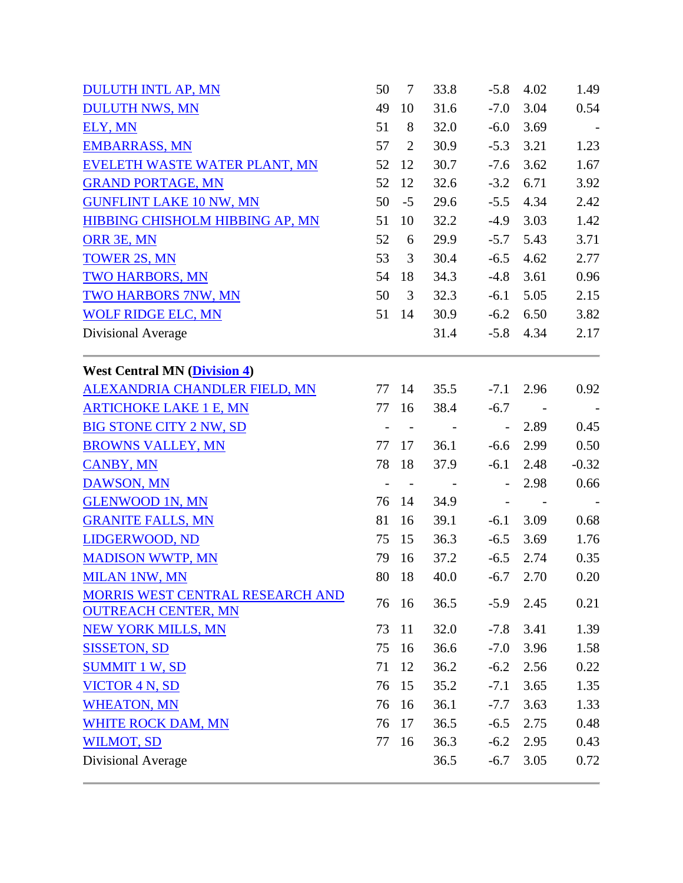| <b>DULUTH INTL AP, MN</b>                                      | 50 | $\tau$     | 33.8                     | $-5.8$                    | 4.02 | 1.49    |
|----------------------------------------------------------------|----|------------|--------------------------|---------------------------|------|---------|
| <b>DULUTH NWS, MN</b>                                          | 49 | 10         | 31.6                     | $-7.0$                    | 3.04 | 0.54    |
| ELY, MN                                                        | 51 | 8          | 32.0                     | $-6.0$                    | 3.69 | $\sim$  |
| <b>EMBARRASS, MN</b>                                           | 57 | 2          | 30.9                     | $-5.3$                    | 3.21 | 1.23    |
| EVELETH WASTE WATER PLANT, MN                                  | 52 | 12         | 30.7                     | $-7.6$                    | 3.62 | 1.67    |
| <b>GRAND PORTAGE, MN</b>                                       | 52 | 12         | 32.6                     | $-3.2$                    | 6.71 | 3.92    |
| <b>GUNFLINT LAKE 10 NW, MN</b>                                 | 50 | $-5$       | 29.6                     | $-5.5$                    | 4.34 | 2.42    |
| HIBBING CHISHOLM HIBBING AP, MN                                | 51 | 10         | 32.2                     | $-4.9$                    | 3.03 | 1.42    |
| ORR 3E, MN                                                     | 52 | 6          | 29.9                     | $-5.7$                    | 5.43 | 3.71    |
| <b>TOWER 2S, MN</b>                                            | 53 | 3          | 30.4                     | $-6.5$                    | 4.62 | 2.77    |
| <b>TWO HARBORS, MN</b>                                         | 54 | 18         | 34.3                     | $-4.8$                    | 3.61 | 0.96    |
| <b>TWO HARBORS 7NW, MN</b>                                     | 50 | 3          | 32.3                     | $-6.1$                    | 5.05 | 2.15    |
| <b>WOLF RIDGE ELC, MN</b>                                      | 51 | -14        | 30.9                     | $-6.2$                    | 6.50 | 3.82    |
| Divisional Average                                             |    |            | 31.4                     | $-5.8$                    | 4.34 | 2.17    |
| <b>West Central MN (Division 4)</b>                            |    |            |                          |                           |      |         |
| <b>ALEXANDRIA CHANDLER FIELD, MN</b>                           |    | 77 14      | 35.5                     | $-7.1$                    | 2.96 | 0.92    |
| <b>ARTICHOKE LAKE 1 E, MN</b>                                  | 77 | 16         | 38.4                     | $-6.7$                    |      |         |
| <b>BIG STONE CITY 2 NW, SD</b>                                 |    | $\sim$ $-$ |                          | $\mathbb{L}^{\mathbb{N}}$ | 2.89 | 0.45    |
| <b>BROWNS VALLEY, MN</b>                                       | 77 | 17         | 36.1                     | $-6.6$                    | 2.99 | 0.50    |
| <b>CANBY, MN</b>                                               | 78 | -18        | 37.9                     | $-6.1$                    | 2.48 | $-0.32$ |
| <b>DAWSON, MN</b>                                              |    | $\sim$ $-$ | $\overline{\phantom{a}}$ |                           | 2.98 | 0.66    |
| <b>GLENWOOD 1N, MN</b>                                         | 76 | -14        | 34.9                     |                           |      |         |
| <b>GRANITE FALLS, MN</b>                                       | 81 | 16         | 39.1                     | $-6.1$                    | 3.09 | 0.68    |
| LIDGERWOOD, ND                                                 | 75 | 15         | 36.3                     | $-6.5$                    | 3.69 | 1.76    |
| <b>MADISON WWTP, MN</b>                                        | 79 | 16         | 37.2                     | $-6.5$                    | 2.74 | 0.35    |
| <b>MILAN 1NW, MN</b>                                           | 80 | 18         | 40.0                     | $-6.7$                    | 2.70 | 0.20    |
| MORRIS WEST CENTRAL RESEARCH AND<br><b>OUTREACH CENTER, MN</b> |    | 76 16      | 36.5                     | $-5.9$                    | 2.45 | 0.21    |
| <b>NEW YORK MILLS, MN</b>                                      | 73 | 11         | 32.0                     | $-7.8$                    | 3.41 | 1.39    |
| <b>SISSETON, SD</b>                                            | 75 | 16         | 36.6                     | $-7.0$                    | 3.96 | 1.58    |
| <b>SUMMIT 1 W, SD</b>                                          | 71 | 12         | 36.2                     | $-6.2$                    | 2.56 | 0.22    |
| <b>VICTOR 4 N, SD</b>                                          | 76 | 15         | 35.2                     | $-7.1$                    | 3.65 | 1.35    |
| <b>WHEATON, MN</b>                                             | 76 | 16         | 36.1                     | $-7.7$                    | 3.63 | 1.33    |
| <b>WHITE ROCK DAM, MN</b>                                      | 76 | 17         | 36.5                     | $-6.5$                    | 2.75 | 0.48    |
| <b>WILMOT, SD</b>                                              | 77 | 16         | 36.3                     | $-6.2$                    | 2.95 | 0.43    |
| Divisional Average                                             |    |            | 36.5                     | $-6.7$                    | 3.05 | 0.72    |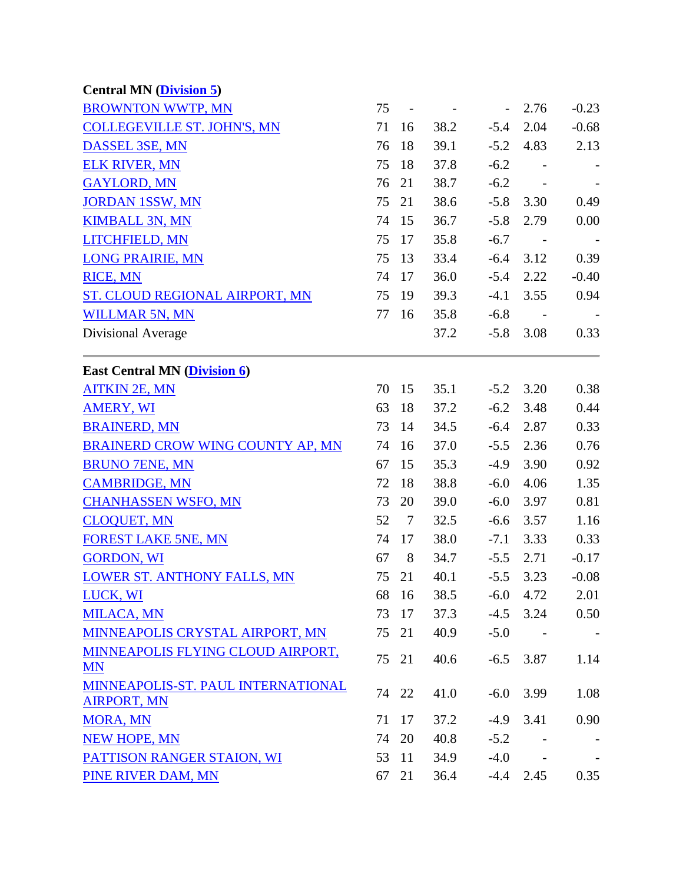| <b>Central MN (Division 5)</b>                           |    |        |      |                          |                          |                          |
|----------------------------------------------------------|----|--------|------|--------------------------|--------------------------|--------------------------|
| <b>BROWNTON WWTP, MN</b>                                 | 75 |        |      | $\overline{\phantom{a}}$ | 2.76                     | $-0.23$                  |
| <b>COLLEGEVILLE ST. JOHN'S, MN</b>                       | 71 | 16     | 38.2 | $-5.4$                   | 2.04                     | $-0.68$                  |
| DASSEL 3SE, MN                                           | 76 | 18     | 39.1 | $-5.2$                   | 4.83                     | 2.13                     |
| <b>ELK RIVER, MN</b>                                     | 75 | 18     | 37.8 | $-6.2$                   |                          |                          |
| <b>GAYLORD, MN</b>                                       | 76 | 21     | 38.7 | $-6.2$                   |                          |                          |
| <b>JORDAN 1SSW, MN</b>                                   | 75 | 21     | 38.6 | $-5.8$                   | 3.30                     | 0.49                     |
| <b>KIMBALL 3N, MN</b>                                    | 74 | 15     | 36.7 | $-5.8$                   | 2.79                     | 0.00                     |
| LITCHFIELD, MN                                           | 75 | 17     | 35.8 | $-6.7$                   |                          |                          |
| <b>LONG PRAIRIE, MN</b>                                  | 75 | 13     | 33.4 | $-6.4$                   | 3.12                     | 0.39                     |
| <b>RICE, MN</b>                                          | 74 | 17     | 36.0 | $-5.4$                   | 2.22                     | $-0.40$                  |
| ST. CLOUD REGIONAL AIRPORT, MN                           | 75 | 19     | 39.3 | $-4.1$                   | 3.55                     | 0.94                     |
| <b>WILLMAR 5N, MN</b>                                    | 77 | 16     | 35.8 | $-6.8$                   | $\overline{\phantom{a}}$ | $\overline{\phantom{a}}$ |
| Divisional Average                                       |    |        | 37.2 | $-5.8$                   | 3.08                     | 0.33                     |
| <b>East Central MN (Division 6)</b>                      |    |        |      |                          |                          |                          |
| <b>AITKIN 2E, MN</b>                                     | 70 | 15     | 35.1 | $-5.2$                   | 3.20                     | 0.38                     |
| <b>AMERY, WI</b>                                         | 63 | 18     | 37.2 | $-6.2$                   | 3.48                     | 0.44                     |
| <b>BRAINERD, MN</b>                                      | 73 | 14     | 34.5 | $-6.4$                   | 2.87                     | 0.33                     |
| BRAINERD CROW WING COUNTY AP, MN                         | 74 | 16     | 37.0 | $-5.5$                   | 2.36                     | 0.76                     |
| <b>BRUNO 7ENE, MN</b>                                    | 67 | 15     | 35.3 | $-4.9$                   | 3.90                     | 0.92                     |
| <b>CAMBRIDGE, MN</b>                                     | 72 | 18     | 38.8 | $-6.0$                   | 4.06                     | 1.35                     |
| <b>CHANHASSEN WSFO, MN</b>                               | 73 | 20     | 39.0 | $-6.0$                   | 3.97                     | 0.81                     |
| <b>CLOQUET, MN</b>                                       | 52 | $\tau$ | 32.5 | $-6.6$                   | 3.57                     | 1.16                     |
| <b>FOREST LAKE 5NE, MN</b>                               | 74 | 17     | 38.0 | $-7.1$                   | 3.33                     | 0.33                     |
| <b>GORDON, WI</b>                                        | 67 | 8      | 34.7 | $-5.5$                   | 2.71                     | $-0.17$                  |
| LOWER ST. ANTHONY FALLS, MN                              | 75 | 21     | 40.1 | $-5.5$                   | 3.23                     | $-0.08$                  |
| LUCK, WI                                                 |    | 68 16  | 38.5 | $-6.0$                   | 4.72                     | 2.01                     |
| <b>MILACA, MN</b>                                        | 73 | 17     | 37.3 | $-4.5$                   | 3.24                     | 0.50                     |
| MINNEAPOLIS CRYSTAL AIRPORT, MN                          | 75 | 21     | 40.9 | $-5.0$                   | $\sim$                   |                          |
| MINNEAPOLIS FLYING CLOUD AIRPORT,<br><b>MN</b>           | 75 | 21     | 40.6 | $-6.5$                   | 3.87                     | 1.14                     |
| MINNEAPOLIS-ST. PAUL INTERNATIONAL<br><b>AIRPORT, MN</b> |    | 74 22  | 41.0 | $-6.0$                   | 3.99                     | 1.08                     |
| <b>MORA, MN</b>                                          | 71 | 17     | 37.2 | $-4.9$                   | 3.41                     | 0.90                     |
| <b>NEW HOPE, MN</b>                                      | 74 | 20     | 40.8 | $-5.2$                   |                          |                          |
| PATTISON RANGER STAION, WI                               | 53 | 11     | 34.9 | $-4.0$                   |                          |                          |
| PINE RIVER DAM, MN                                       | 67 | 21     | 36.4 | $-4.4$                   | 2.45                     | 0.35                     |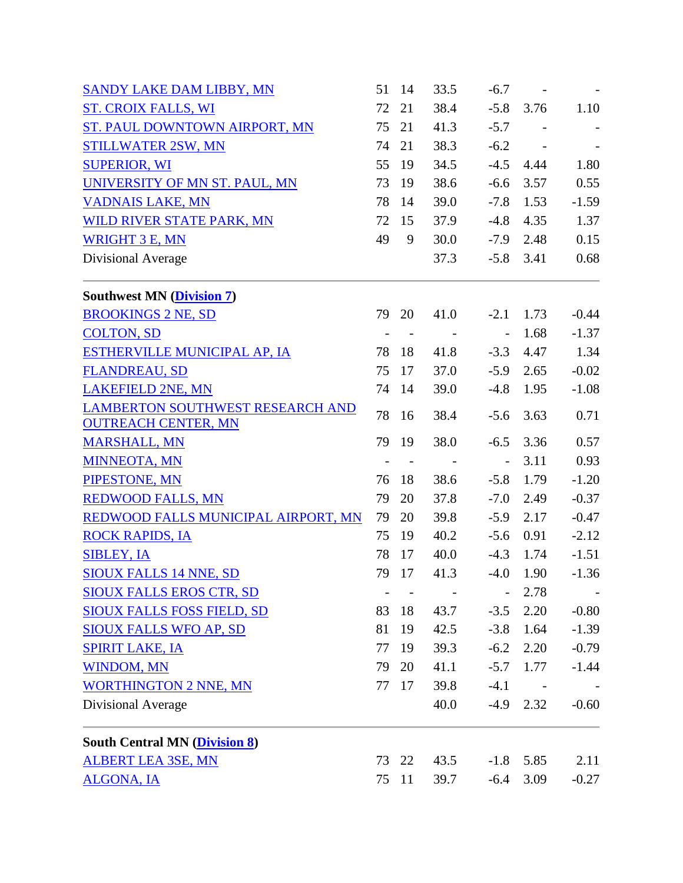| <b>SANDY LAKE DAM LIBBY, MN</b>                                       | 51 | 14         | 33.5       | $-6.7$                   | $\sim$ $-$ |                          |
|-----------------------------------------------------------------------|----|------------|------------|--------------------------|------------|--------------------------|
| <b>ST. CROIX FALLS, WI</b>                                            | 72 | 21         | 38.4       | $-5.8$                   | 3.76       | 1.10                     |
| ST. PAUL DOWNTOWN AIRPORT, MN                                         | 75 | 21         | 41.3       | $-5.7$                   |            |                          |
| <b>STILLWATER 2SW, MN</b>                                             | 74 | 21         | 38.3       | $-6.2$                   |            |                          |
| <b>SUPERIOR, WI</b>                                                   | 55 | 19         | 34.5       | $-4.5$                   | 4.44       | 1.80                     |
| UNIVERSITY OF MN ST. PAUL, MN                                         | 73 | 19         | 38.6       | $-6.6$                   | 3.57       | 0.55                     |
| <b>VADNAIS LAKE, MN</b>                                               | 78 | 14         | 39.0       | $-7.8$                   | 1.53       | $-1.59$                  |
| WILD RIVER STATE PARK, MN                                             | 72 | 15         | 37.9       | $-4.8$                   | 4.35       | 1.37                     |
| <b>WRIGHT 3 E, MN</b>                                                 | 49 | 9          | 30.0       | $-7.9$                   | 2.48       | 0.15                     |
| Divisional Average                                                    |    |            | 37.3       | $-5.8$                   | 3.41       | 0.68                     |
| <b>Southwest MN (Division 7)</b>                                      |    |            |            |                          |            |                          |
| <b>BROOKINGS 2 NE, SD</b>                                             | 79 | 20         | 41.0       | $-2.1$                   | 1.73       | $-0.44$                  |
| <b>COLTON, SD</b>                                                     |    | $\sim$ $-$ | $\sim$ $-$ | $\overline{a}$           | 1.68       | $-1.37$                  |
| ESTHERVILLE MUNICIPAL AP, IA                                          | 78 | 18         | 41.8       | $-3.3$                   | 4.47       | 1.34                     |
| <b>FLANDREAU, SD</b>                                                  | 75 | 17         | 37.0       | $-5.9$                   | 2.65       | $-0.02$                  |
| <b>LAKEFIELD 2NE, MN</b>                                              | 74 | 14         | 39.0       | $-4.8$                   | 1.95       | $-1.08$                  |
| <b>LAMBERTON SOUTHWEST RESEARCH AND</b><br><b>OUTREACH CENTER, MN</b> | 78 | 16         | 38.4       | $-5.6$                   | 3.63       | 0.71                     |
| <b>MARSHALL, MN</b>                                                   | 79 | 19         | 38.0       | $-6.5$                   | 3.36       | 0.57                     |
| <b>MINNEOTA, MN</b>                                                   |    |            |            | $\Box$                   | 3.11       | 0.93                     |
| PIPESTONE, MN                                                         | 76 | 18         | 38.6       | $-5.8$                   | 1.79       | $-1.20$                  |
| <b>REDWOOD FALLS, MN</b>                                              | 79 | 20         | 37.8       | $-7.0$                   | 2.49       | $-0.37$                  |
| REDWOOD FALLS MUNICIPAL AIRPORT, MN                                   | 79 | 20         | 39.8       | $-5.9$                   | 2.17       | $-0.47$                  |
| <b>ROCK RAPIDS, IA</b>                                                | 75 | 19         | 40.2       | $-5.6$                   | 0.91       | $-2.12$                  |
| <b>SIBLEY, IA</b>                                                     | 78 | 17         | 40.0       | $-4.3$                   | 1.74       | $-1.51$                  |
| <b>SIOUX FALLS 14 NNE, SD</b>                                         | 79 | 17         | 41.3       | $-4.0$                   | 1.90       | $-1.36$                  |
| <b>SIOUX FALLS EROS CTR, SD</b>                                       |    |            |            | $\overline{\phantom{0}}$ | 2.78       | $\overline{\phantom{a}}$ |
| <b>SIOUX FALLS FOSS FIELD, SD</b>                                     | 83 | 18         | 43.7       | $-3.5$                   | 2.20       | $-0.80$                  |
| <b>SIOUX FALLS WFO AP, SD</b>                                         | 81 | 19         | 42.5       | $-3.8$                   | 1.64       | $-1.39$                  |
| <b>SPIRIT LAKE, IA</b>                                                | 77 | 19         | 39.3       | $-6.2$                   | 2.20       | $-0.79$                  |
| <b>WINDOM, MN</b>                                                     | 79 | 20         | 41.1       | $-5.7$                   | 1.77       | $-1.44$                  |
| <b>WORTHINGTON 2 NNE, MN</b>                                          | 77 | 17         | 39.8       | $-4.1$                   |            |                          |
| Divisional Average                                                    |    |            | 40.0       | $-4.9$                   | 2.32       | $-0.60$                  |
| <b>South Central MN (Division 8)</b>                                  |    |            |            |                          |            |                          |
| <b>ALBERT LEA 3SE, MN</b>                                             |    | 73 22      | 43.5       | $-1.8$                   | 5.85       | 2.11                     |
| <b>ALGONA, IA</b>                                                     | 75 | 11         | 39.7       | $-6.4$                   | 3.09       | $-0.27$                  |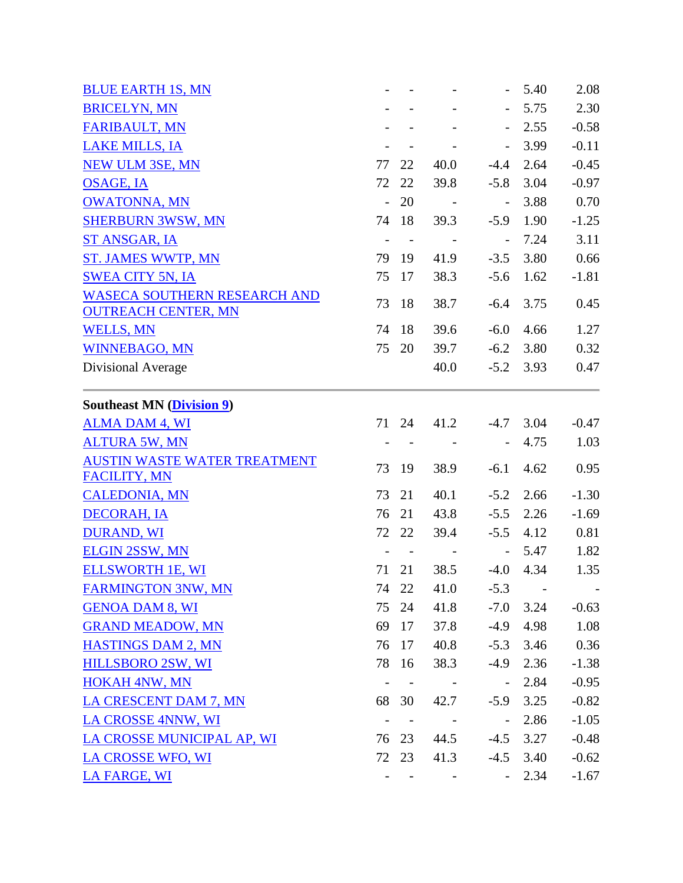|                           |                |                                                                                           |                          | 5.40                                           | 2.08                                                                                                 |
|---------------------------|----------------|-------------------------------------------------------------------------------------------|--------------------------|------------------------------------------------|------------------------------------------------------------------------------------------------------|
|                           |                |                                                                                           |                          | 5.75                                           | 2.30                                                                                                 |
|                           |                |                                                                                           |                          | 2.55                                           | $-0.58$                                                                                              |
|                           |                | $\overline{\phantom{a}}$                                                                  | $\overline{\phantom{a}}$ | 3.99                                           | $-0.11$                                                                                              |
| 77                        | 22             | 40.0                                                                                      | $-4.4$                   | 2.64                                           | $-0.45$                                                                                              |
| 72                        | 22             | 39.8                                                                                      | $-5.8$                   | 3.04                                           | $-0.97$                                                                                              |
| $\mathbb{L}^{\mathbb{N}}$ | 20             | $\sim 100$                                                                                | $\equiv$                 | 3.88                                           | 0.70                                                                                                 |
| 74                        | 18             | 39.3                                                                                      | $-5.9$                   | 1.90                                           | $-1.25$                                                                                              |
| $\overline{\phantom{a}}$  | $\sim$ $-$     | $\sim 100$ km s $^{-1}$                                                                   | $\overline{\phantom{a}}$ | 7.24                                           | 3.11                                                                                                 |
|                           |                | 41.9                                                                                      | $-3.5$                   | 3.80                                           | 0.66                                                                                                 |
| 75                        | 17             | 38.3                                                                                      | $-5.6$                   | 1.62                                           | $-1.81$                                                                                              |
| 73                        | 18             | 38.7                                                                                      | $-6.4$                   | 3.75                                           | 0.45                                                                                                 |
| 74                        | 18             | 39.6                                                                                      | $-6.0$                   | 4.66                                           | 1.27                                                                                                 |
| 75                        | 20             |                                                                                           | $-6.2$                   | 3.80                                           | 0.32                                                                                                 |
|                           |                | 40.0                                                                                      |                          | 3.93                                           | 0.47                                                                                                 |
|                           |                |                                                                                           |                          |                                                |                                                                                                      |
|                           |                |                                                                                           |                          |                                                | $-0.47$                                                                                              |
|                           | $\blacksquare$ |                                                                                           |                          | 4.75                                           | 1.03                                                                                                 |
|                           |                |                                                                                           |                          |                                                | 0.95                                                                                                 |
|                           |                |                                                                                           |                          |                                                |                                                                                                      |
| 73                        | 21             | 40.1                                                                                      | $-5.2$                   | 2.66                                           | $-1.30$                                                                                              |
| 76                        | 21             | 43.8                                                                                      | $-5.5$                   | 2.26                                           | $-1.69$                                                                                              |
|                           |                | 39.4                                                                                      | $-5.5$                   | 4.12                                           | 0.81                                                                                                 |
|                           | $\sim$ $-$     | $\overline{\phantom{a}}$                                                                  | $\overline{\phantom{a}}$ | 5.47                                           | 1.82                                                                                                 |
| 71                        | 21             | 38.5                                                                                      |                          | 4.34                                           | 1.35                                                                                                 |
|                           |                | 41.0                                                                                      | $-5.3$                   |                                                |                                                                                                      |
|                           |                | 41.8                                                                                      |                          |                                                | $-0.63$                                                                                              |
| 69                        | 17             |                                                                                           | $-4.9$                   | 4.98                                           | 1.08                                                                                                 |
| 76                        |                | 40.8                                                                                      | $-5.3$                   | 3.46                                           | 0.36                                                                                                 |
|                           |                | 38.3                                                                                      |                          | 2.36                                           | $-1.38$                                                                                              |
|                           |                |                                                                                           | $\blacksquare$           | 2.84                                           | $-0.95$                                                                                              |
|                           |                | 42.7                                                                                      | $-5.9$                   | 3.25                                           | $-0.82$                                                                                              |
|                           | $\sim$ $-$     | <b>Contract Contract</b>                                                                  | $\overline{\phantom{a}}$ | 2.86                                           | $-1.05$                                                                                              |
|                           |                |                                                                                           | $-4.5$                   | 3.27                                           | $-0.48$                                                                                              |
|                           |                |                                                                                           |                          | 3.40                                           | $-0.62$                                                                                              |
|                           |                |                                                                                           |                          | 2.34                                           | $-1.67$                                                                                              |
|                           | 73             | 79 19<br>71 24<br>19<br>72 22<br>74 22<br>75 24<br>17<br>78 16<br>68 30<br>76 23<br>72 23 | 38.9                     | 39.7<br>41.2<br>$-6.1$<br>37.8<br>44.5<br>41.3 | $-5.2$<br>$-4.7$ 3.04<br>4.62<br>$-4.0$<br>$-7.0$<br>3.24<br>$-4.9$<br>$-4.5$<br>$\omega_{\rm{max}}$ |